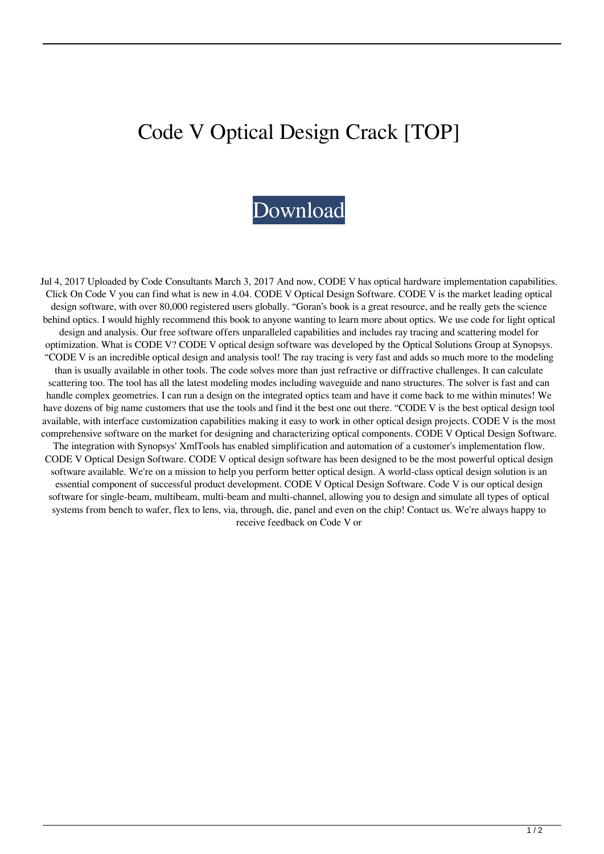## Code V Optical Design Crack [TOP]



Jul 4, 2017 Uploaded by Code Consultants March 3, 2017 And now, CODE V has optical hardware implementation capabilities. Click On Code V you can find what is new in 4.04. CODE V Optical Design Software. CODE V is the market leading optical design software, with over 80,000 registered users globally. "Goran's book is a great resource, and he really gets the science behind optics. I would highly recommend this book to anyone wanting to learn more about optics. We use code for light optical design and analysis. Our free software offers unparalleled capabilities and includes ray tracing and scattering model for optimization. What is CODE V? CODE V optical design software was developed by the Optical Solutions Group at Synopsys. "CODE V is an incredible optical design and analysis tool! The ray tracing is very fast and adds so much more to the modeling than is usually available in other tools. The code solves more than just refractive or diffractive challenges. It can calculate scattering too. The tool has all the latest modeling modes including waveguide and nano structures. The solver is fast and can handle complex geometries. I can run a design on the integrated optics team and have it come back to me within minutes! We have dozens of big name customers that use the tools and find it the best one out there. "CODE V is the best optical design tool available, with interface customization capabilities making it easy to work in other optical design projects. CODE V is the most comprehensive software on the market for designing and characterizing optical components. CODE V Optical Design Software. The integration with Synopsys' XmlTools has enabled simplification and automation of a customer's implementation flow. CODE V Optical Design Software. CODE V optical design software has been designed to be the most powerful optical design software available. We're on a mission to help you perform better optical design. A world-class optical design solution is an essential component of successful product development. CODE V Optical Design Software. Code V is our optical design software for single-beam, multibeam, multi-beam and multi-channel, allowing you to design and simulate all types of optical systems from bench to wafer, flex to lens, via, through, die, panel and even on the chip! Contact us. We're always happy to receive feedback on Code V or